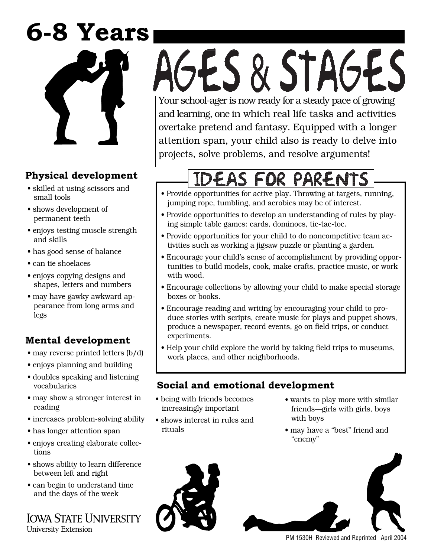## **6-8 Years**



## **Physical development**

- skilled at using scissors and small tools
- shows development of permanent teeth
- enjoys testing muscle strength and skills
- has good sense of balance
- can tie shoelaces
- enjoys copying designs and shapes, letters and numbers
- may have gawky awkward appearance from long arms and legs

### **Mental development**

- may reverse printed letters (b/d)
- enjoys planning and building
- doubles speaking and listening vocabularies
- may show a stronger interest in reading
- increases problem-solving ability
- has longer attention span
- enjoys creating elaborate collections
- shows ability to learn difference between left and right
- can begin to understand time and the days of the week

**IOWA STATE UNIVERSITY** University Extension

# AGES & STAGES Your school-ager is now ready for a steady pace of growing

and learning, one in which real life tasks and activities overtake pretend and fantasy. Equipped with a longer attention span, your child also is ready to delve into projects, solve problems, and resolve arguments!

## IDEAS FOR PARENTS

- Provide opportunities for active play. Throwing at targets, running, jumping rope, tumbling, and aerobics may be of interest.
- Provide opportunities to develop an understanding of rules by playing simple table games: cards, dominoes, tic-tac-toe.
- Provide opportunities for your child to do noncompetitive team activities such as working a jigsaw puzzle or planting a garden.
- Encourage your child's sense of accomplishment by providing opportunities to build models, cook, make crafts, practice music, or work with wood.
- Encourage collections by allowing your child to make special storage boxes or books.
- Encourage reading and writing by encouraging your child to produce stories with scripts, create music for plays and puppet shows, produce a newspaper, record events, go on field trips, or conduct experiments.
- Help your child explore the world by taking field trips to museums, work places, and other neighborhoods.

#### **Social and emotional development**

- being with friends becomes increasingly important
- shows interest in rules and rituals
- wants to play more with similar friends—girls with girls, boys with boys
- may have a "best" friend and "enemy"



PM 1530H Reviewed and Reprinted April 2004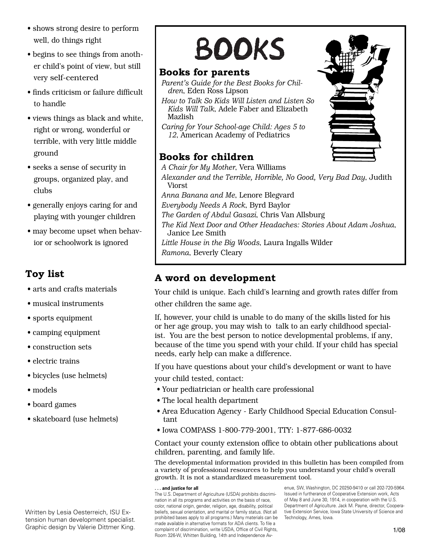- shows strong desire to perform well, do things right
- begins to see things from another child's point of view, but still very self-centered
- finds criticism or failure difficult to handle
- views things as black and white, right or wrong, wonderful or terrible, with very little middle ground
- seeks a sense of security in groups, organized play, and clubs
- generally enjoys caring for and playing with younger children
- may become upset when behavior or schoolwork is ignored

#### **Toy list**

- arts and crafts materials
- musical instruments
- sports equipment
- camping equipment
- construction sets
- electric trains
- bicycles (use helmets)
- models
- board games
- skateboard (use helmets)

Written by Lesia Oesterreich, ISU Extension human development specialist. Graphic design by Valerie Dittmer King.

## **BOOKS**

#### **Books for parents**

*Parent's Guide for the Best Books for Children*, Eden Ross Lipson *How to Talk So Kids Will Listen and Listen So Kids Will Talk*, Adele Faber and Elizabeth Mazlish *Caring for Your School-age Child: Ages 5 to 12*, American Academy of Pediatrics

#### **Books for children**

*A Chair for My Mother*, Vera Williams *Alexander and the Terrible, Horrible, No Good, Very Bad Day*, Judith Viorst *Anna Banana and Me*, Lenore Blegvard *Everybody Needs A Rock*, Byrd Baylor *The Garden of Abdul Gasazi*, Chris Van Allsburg *The Kid Next Door and Other Headaches: Stories About Adam Joshua*, Janice Lee Smith *Little House in the Big Woods*, Laura Ingalls Wilder *Ramona*, Beverly Cleary

#### **A word on development**

Your child is unique. Each child's learning and growth rates differ from other children the same age.

If, however, your child is unable to do many of the skills listed for his or her age group, you may wish to talk to an early childhood specialist. You are the best person to notice developmental problems, if any, because of the time you spend with your child. If your child has special needs, early help can make a difference.

If you have questions about your child's development or want to have

your child tested, contact:

- Your pediatrician or health care professional
- The local health department
- Area Education Agency Early Childhood Special Education Consultant
- Iowa COMPASS 1-800-779-2001, TTY: 1-877-686-0032

Contact your county extension office to obtain other publications about children, parenting, and family life.

The developmental information provided in this bulletin has been compiled from a variety of professional resources to help you understand your child's overall growth. It is not a standardized measurement tool.

#### **. . . and justice for all**

The U.S. Department of Agriculture (USDA) prohibits discrimination in all its programs and activities on the basis of race, color, national origin, gender, religion, age, disability, political beliefs, sexual orientation, and marital or family status. (Not all prohibited bases apply to all programs.) Many materials can be made available in alternative formats for ADA clients. To file a complaint of discrimination, write USDA, Office of Civil Rights, Room 326-W, Whitten Building, 14th and Independence Av-

enue, SW, Washington, DC 20250-9410 or call 202-720-5964. Issued in furtherance of Cooperative Extension work, Acts of May 8 and June 30, 1914, in cooperation with the U.S. Department of Agriculture. Jack M. Payne, director, Cooperative Extension Service, Iowa State University of Science and Technology, Ames, Iowa.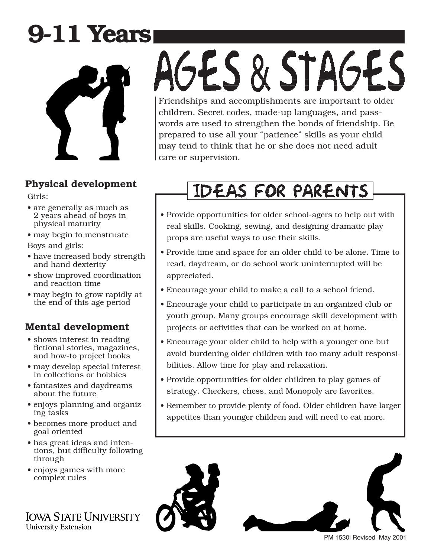## **9-11 Years**



#### **Physical development**

Girls:

- are generally as much as 2 years ahead of boys in physical maturity
- may begin to menstruate

Boys and girls:

- have increased body strength and hand dexterity
- show improved coordination and reaction time
- may begin to grow rapidly at the end of this age period

### **Mental development**

- shows interest in reading fictional stories, magazines, and how-to project books
- may develop special interest in collections or hobbies
- fantasizes and daydreams about the future
- enjoys planning and organizing tasks
- becomes more product and goal oriented
- has great ideas and intentions, but difficulty following through
- enjoys games with more complex rules

**IOWA STATE UNIVERSITY University Extension** 

# GES & STAGES

Friendships and accomplishments are important to older children. Secret codes, made-up languages, and passwords are used to strengthen the bonds of friendship. Be prepared to use all your "patience" skills as your child may tend to think that he or she does not need adult care or supervision.

## **IDEAS FOR PARENTS**

- Provide opportunities for older school-agers to help out with real skills. Cooking, sewing, and designing dramatic play props are useful ways to use their skills.
- Provide time and space for an older child to be alone. Time to read, daydream, or do school work uninterrupted will be appreciated.
- Encourage your child to make a call to a school friend.
- Encourage your child to participate in an organized club or youth group. Many groups encourage skill development with projects or activities that can be worked on at home.
- Encourage your older child to help with a younger one but avoid burdening older children with too many adult responsibilities. Allow time for play and relaxation.
- Provide opportunities for older children to play games of strategy. Checkers, chess, and Monopoly are favorites.
- Remember to provide plenty of food. Older children have larger appetites than younger children and will need to eat more.



PM 1530i Revised May 2001